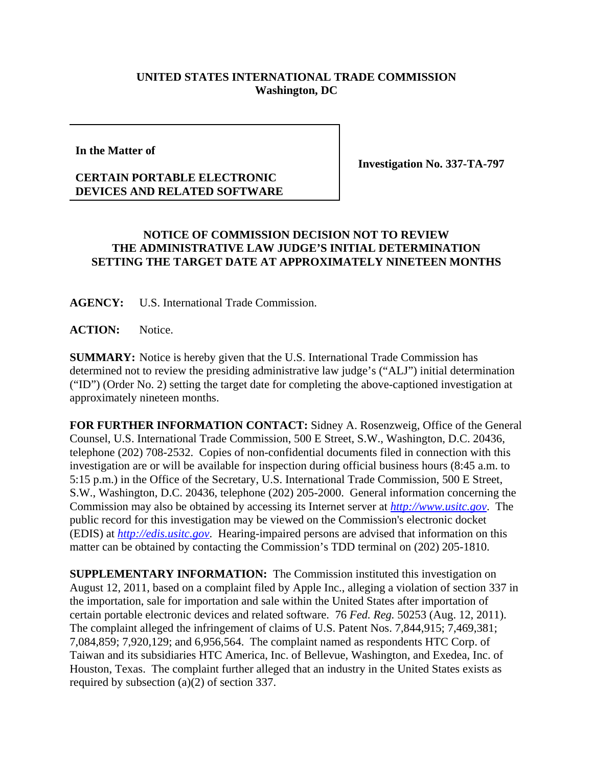## **UNITED STATES INTERNATIONAL TRADE COMMISSION Washington, DC**

**In the Matter of**

**CERTAIN PORTABLE ELECTRONIC DEVICES AND RELATED SOFTWARE** **Investigation No. 337-TA-797**

## **NOTICE OF COMMISSION DECISION NOT TO REVIEW THE ADMINISTRATIVE LAW JUDGE'S INITIAL DETERMINATION SETTING THE TARGET DATE AT APPROXIMATELY NINETEEN MONTHS**

**AGENCY:** U.S. International Trade Commission.

**ACTION:** Notice.

**SUMMARY:** Notice is hereby given that the U.S. International Trade Commission has determined not to review the presiding administrative law judge's ("ALJ") initial determination ("ID") (Order No. 2) setting the target date for completing the above-captioned investigation at approximately nineteen months.

**FOR FURTHER INFORMATION CONTACT:** Sidney A. Rosenzweig, Office of the General Counsel, U.S. International Trade Commission, 500 E Street, S.W., Washington, D.C. 20436, telephone (202) 708-2532. Copies of non-confidential documents filed in connection with this investigation are or will be available for inspection during official business hours (8:45 a.m. to 5:15 p.m.) in the Office of the Secretary, U.S. International Trade Commission, 500 E Street, S.W., Washington, D.C. 20436, telephone (202) 205-2000. General information concerning the Commission may also be obtained by accessing its Internet server at *http://www.usitc.gov*. The public record for this investigation may be viewed on the Commission's electronic docket (EDIS) at *http://edis.usitc.gov*. Hearing-impaired persons are advised that information on this matter can be obtained by contacting the Commission's TDD terminal on (202) 205-1810.

**SUPPLEMENTARY INFORMATION:** The Commission instituted this investigation on August 12, 2011, based on a complaint filed by Apple Inc., alleging a violation of section 337 in the importation, sale for importation and sale within the United States after importation of certain portable electronic devices and related software. 76 *Fed. Reg.* 50253 (Aug. 12, 2011). The complaint alleged the infringement of claims of U.S. Patent Nos. 7,844,915; 7,469,381; 7,084,859; 7,920,129; and 6,956,564. The complaint named as respondents HTC Corp. of Taiwan and its subsidiaries HTC America, Inc. of Bellevue, Washington, and Exedea, Inc. of Houston, Texas. The complaint further alleged that an industry in the United States exists as required by subsection (a)(2) of section 337.